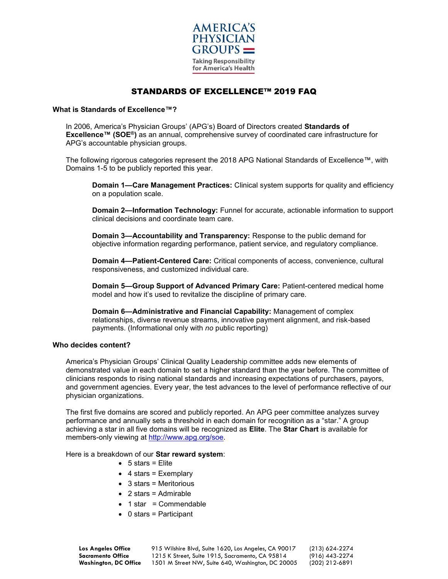

## STANDARDS OF EXCELLENCE™ 2019 FAQ

## **What is Standards of Excellence™?**

In 2006, America's Physician Groups' (APG's) Board of Directors created **Standards of Excellence™ (SOE®)** as an annual, comprehensive survey of coordinated care infrastructure for APG's accountable physician groups.

The following rigorous categories represent the 2018 APG National Standards of Excellence™, with Domains 1-5 to be publicly reported this year.

**Domain 1—Care Management Practices:** Clinical system supports for quality and efficiency on a population scale.

**Domain 2—Information Technology:** Funnel for accurate, actionable information to support clinical decisions and coordinate team care.

**Domain 3—Accountability and Transparency:** Response to the public demand for objective information regarding performance, patient service, and regulatory compliance.

**Domain 4—Patient-Centered Care:** Critical components of access, convenience, cultural responsiveness, and customized individual care.

**Domain 5—Group Support of Advanced Primary Care:** Patient-centered medical home model and how it's used to revitalize the discipline of primary care.

**Domain 6—Administrative and Financial Capability:** Management of complex relationships, diverse revenue streams, innovative payment alignment, and risk-based payments. (Informational only with *no* public reporting)

## **Who decides content?**

America's Physician Groups' Clinical Quality Leadership committee adds new elements of demonstrated value in each domain to set a higher standard than the year before. The committee of clinicians responds to rising national standards and increasing expectations of purchasers, payors, and government agencies. Every year, the test advances to the level of performance reflective of our physician organizations.

The first five domains are scored and publicly reported. An APG peer committee analyzes survey performance and annually sets a threshold in each domain for recognition as a "star." A group achieving a star in all five domains will be recognized as **Elite**. The **Star Chart** is available for members-only viewing at [http://www.apg.org/soe.](http://www.capg.org/soe)

Here is a breakdown of our **Star reward system**:

- $5 stars = Elite$
- $\bullet$  4 stars = Exemplary
- 3 stars = Meritorious
- 2 stars = Admirable
- $\bullet$  1 star = Commendable
- 0 stars = Participant

**Los Angeles Office** 915 Wilshire Blvd, Suite 1620, Los Angeles, CA 90017 (213) 624-2274 **Sacramento Office** 1215 K Street, Suite 1915, Sacramento, CA 95814 (916) 443-2274<br>**Washington, DC Office** 1501 M Street NW, Suite 640, Washington, DC 20005 (202) 212-6891 1501 M Street NW, Suite 640, Washington, DC 20005 (202) 212-6891